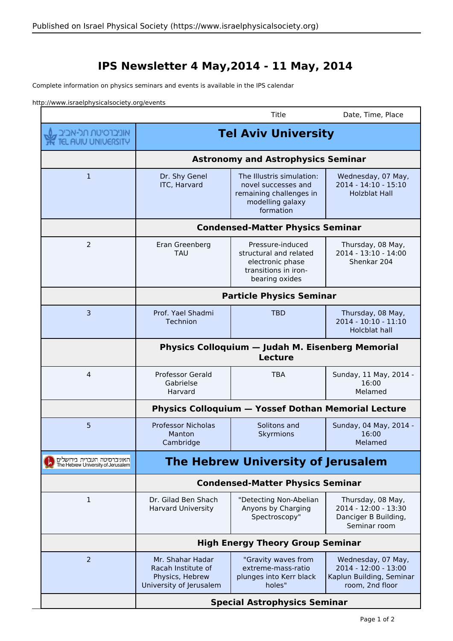## **IPS Newsletter 4 May,2014 - 11 May, 2014**

Complete information on physics seminars and events is available in the IPS calendar

http://www.israelphysicalsociety.org/events

|                                                                   |                                                                                      | Title                                                                                                        | Date, Time, Place                                                                         |  |
|-------------------------------------------------------------------|--------------------------------------------------------------------------------------|--------------------------------------------------------------------------------------------------------------|-------------------------------------------------------------------------------------------|--|
| אוניברסיטת תל-אביב<br>ד <b>אל</b> דנכרסיטת מל-אביב                | <b>Tel Aviv University</b><br><b>Astronomy and Astrophysics Seminar</b>              |                                                                                                              |                                                                                           |  |
|                                                                   |                                                                                      |                                                                                                              |                                                                                           |  |
| $\mathbf{1}$                                                      | Dr. Shy Genel<br><b>ITC, Harvard</b>                                                 | The Illustris simulation:<br>novel successes and<br>remaining challenges in<br>modelling galaxy<br>formation | Wednesday, 07 May,<br>2014 - 14:10 - 15:10<br><b>Holzblat Hall</b>                        |  |
|                                                                   | <b>Condensed-Matter Physics Seminar</b>                                              |                                                                                                              |                                                                                           |  |
| 2                                                                 | Eran Greenberg<br><b>TAU</b>                                                         | Pressure-induced<br>structural and related<br>electronic phase<br>transitions in iron-<br>bearing oxides     | Thursday, 08 May,<br>2014 - 13:10 - 14:00<br>Shenkar 204                                  |  |
|                                                                   | <b>Particle Physics Seminar</b>                                                      |                                                                                                              |                                                                                           |  |
| 3                                                                 | Prof. Yael Shadmi<br><b>Technion</b>                                                 | <b>TBD</b>                                                                                                   | Thursday, 08 May,<br>2014 - 10:10 - 11:10<br>Holcblat hall                                |  |
|                                                                   | <b>Physics Colloquium - Judah M. Eisenberg Memorial</b><br><b>Lecture</b>            |                                                                                                              |                                                                                           |  |
| 4                                                                 | <b>Professor Gerald</b><br>Gabrielse<br>Harvard                                      | <b>TBA</b>                                                                                                   | Sunday, 11 May, 2014 -<br>16:00<br>Melamed                                                |  |
|                                                                   |                                                                                      | <b>Physics Colloquium - Yossef Dothan Memorial Lecture</b>                                                   |                                                                                           |  |
| 5                                                                 | <b>Professor Nicholas</b><br>Manton<br>Cambridge                                     | Solitons and<br>Skyrmions                                                                                    | Sunday, 04 May, 2014 -<br>16:00<br>Melamed                                                |  |
| האוניברסיטה העברית בירושלים<br>The Hebrew University of Jerusalem | The Hebrew University of Jerusalem                                                   |                                                                                                              |                                                                                           |  |
|                                                                   | <b>Condensed-Matter Physics Seminar</b>                                              |                                                                                                              |                                                                                           |  |
| 1                                                                 | Dr. Gilad Ben Shach<br><b>Harvard University</b>                                     | "Detecting Non-Abelian<br>Anyons by Charging<br>Spectroscopy"                                                | Thursday, 08 May,<br>2014 - 12:00 - 13:30<br>Danciger B Building,<br>Seminar room         |  |
|                                                                   | <b>High Energy Theory Group Seminar</b>                                              |                                                                                                              |                                                                                           |  |
| 2                                                                 | Mr. Shahar Hadar<br>Racah Institute of<br>Physics, Hebrew<br>University of Jerusalem | "Gravity waves from<br>extreme-mass-ratio<br>plunges into Kerr black<br>holes"                               | Wednesday, 07 May,<br>2014 - 12:00 - 13:00<br>Kaplun Building, Seminar<br>room, 2nd floor |  |
|                                                                   | <b>Special Astrophysics Seminar</b>                                                  |                                                                                                              |                                                                                           |  |